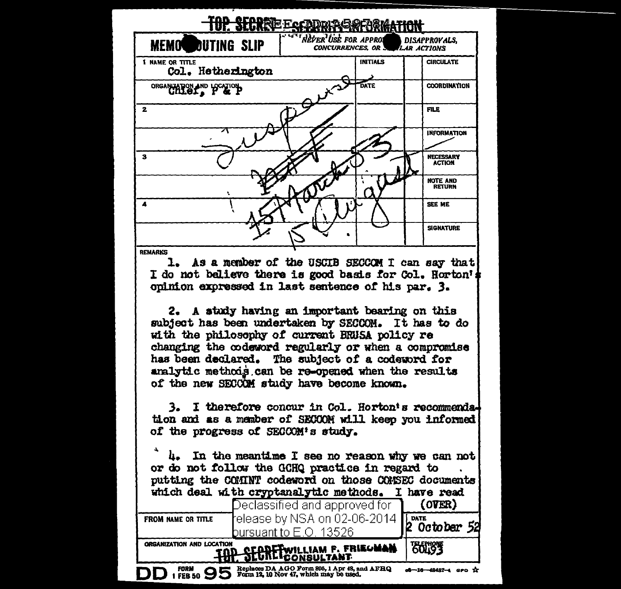

|                                                             | Declassified and approved for                                                          | <i><b>LOARRA</b></i>           |
|-------------------------------------------------------------|----------------------------------------------------------------------------------------|--------------------------------|
| FROM NAME OR TITLE                                          | Feliabolity NSA on 02-06-2014 <b>PATE</b><br>Potober                                   |                                |
|                                                             | bursuant to E.O. 13526                                                                 |                                |
| ORGANIZATION AND LOCATION<br>THP SECRET WILLIAM F. FRIEDMAN |                                                                                        | <b>BOLIST</b>                  |
|                                                             |                                                                                        |                                |
| $1$ FEB 50 $95$<br>ЭD                                       | Replaces DA AGO Form 895, 1 Apr 48, and AFHQ<br>Form 12, 10 Nov 47, which may be used. | $-16 - 48487 - 4$<br><b>GP</b> |